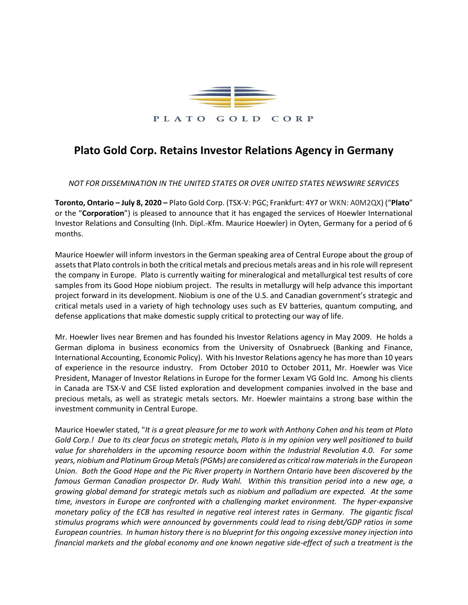

## **Plato Gold Corp. Retains Investor Relations Agency in Germany**

*NOT FOR DISSEMINATION IN THE UNITED STATES OR OVER UNITED STATES NEWSWIRE SERVICES*

**Toronto, Ontario – July 8, 2020 –** Plato Gold Corp. (TSX-V: PGC; Frankfurt: 4Y7 or WKN: A0M2QX) ("**Plato**" or the "**Corporation**") is pleased to announce that it has engaged the services of Hoewler International Investor Relations and Consulting (Inh. Dipl.-Kfm. Maurice Hoewler) in Oyten, Germany for a period of 6 months.

Maurice Hoewler will inform investors in the German speaking area of Central Europe about the group of assets that Plato controls in both the critical metals and precious metals areas and in his role will represent the company in Europe. Plato is currently waiting for mineralogical and metallurgical test results of core samples from its Good Hope niobium project. The results in metallurgy will help advance this important project forward in its development. Niobium is one of the U.S. and Canadian government's strategic and critical metals used in a variety of high technology uses such as EV batteries, quantum computing, and defense applications that make domestic supply critical to protecting our way of life.

Mr. Hoewler lives near Bremen and has founded his Investor Relations agency in May 2009. He holds a German diploma in business economics from the University of Osnabrueck (Banking and Finance, International Accounting, Economic Policy). With his Investor Relations agency he has more than 10 years of experience in the resource industry. From October 2010 to October 2011, Mr. Hoewler was Vice President, Manager of Investor Relations in Europe for the former Lexam VG Gold Inc. Among his clients in Canada are TSX-V and CSE listed exploration and development companies involved in the base and precious metals, as well as strategic metals sectors. Mr. Hoewler maintains a strong base within the investment community in Central Europe.

Maurice Hoewler stated, "*It is a great pleasure for me to work with Anthony Cohen and his team at Plato Gold Corp.! Due to its clear focus on strategic metals, Plato is in my opinion very well positioned to build value for shareholders in the upcoming resource boom within the Industrial Revolution 4.0. For some years, niobium and Platinum Group Metals (PGMs) are considered as critical raw materials in the European Union. Both the Good Hope and the Pic River property in Northern Ontario have been discovered by the famous German Canadian prospector Dr. Rudy Wahl. Within this transition period into a new age, a growing global demand for strategic metals such as niobium and palladium are expected. At the same time, investors in Europe are confronted with a challenging market environment. The hyper-expansive monetary policy of the ECB has resulted in negative real interest rates in Germany. The gigantic fiscal stimulus programs which were announced by governments could lead to rising debt/GDP ratios in some European countries. In human history there is no blueprint for this ongoing excessive money injection into financial markets and the global economy and one known negative side-effect of such a treatment is the*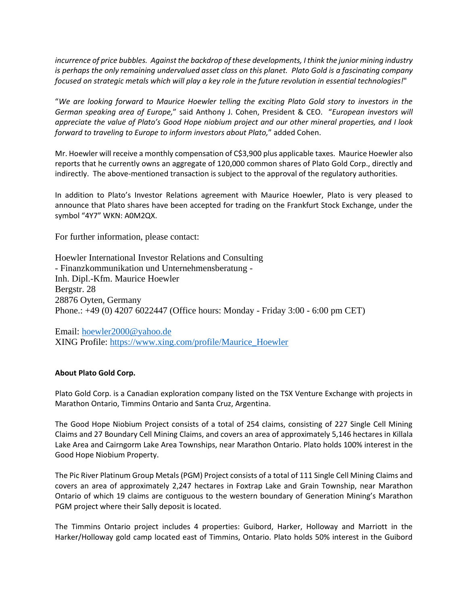*incurrence of price bubbles. Against the backdrop of these developments, I think the junior mining industry is perhaps the only remaining undervalued asset class on this planet. Plato Gold is a fascinating company focused on strategic metals which will play a key role in the future revolution in essential technologies!*"

"*We are looking forward to Maurice Hoewler telling the exciting Plato Gold story to investors in the German speaking area of Europe,*" said Anthony J. Cohen, President & CEO. "*European investors will appreciate the value of Plato's Good Hope niobium project and our other mineral properties, and I look forward to traveling to Europe to inform investors about Plato,*" added Cohen.

Mr. Hoewler will receive a monthly compensation of C\$3,900 plus applicable taxes. Maurice Hoewler also reports that he currently owns an aggregate of 120,000 common shares of Plato Gold Corp., directly and indirectly. The above-mentioned transaction is subject to the approval of the regulatory authorities.

In addition to Plato's Investor Relations agreement with Maurice Hoewler, Plato is very pleased to announce that Plato shares have been accepted for trading on the Frankfurt Stock Exchange, under the symbol "4Y7" WKN: A0M2QX.

For further information, please contact:

Hoewler International Investor Relations and Consulting - Finanzkommunikation und Unternehmensberatung - Inh. Dipl.-Kfm. Maurice Hoewler Bergstr. 28 28876 Oyten, Germany Phone.: +49 (0) 4207 6022447 (Office hours: Monday - Friday 3:00 - 6:00 pm CET)

Email: [hoewler2000@yahoo.de](mailto:hoewler2000@yahoo.de) XING Profile: [https://www.xing.com/profile/Maurice\\_Hoewler](https://www.xing.com/profile/Maurice_Hoewler)

## **About Plato Gold Corp.**

Plato Gold Corp. is a Canadian exploration company listed on the TSX Venture Exchange with projects in Marathon Ontario, Timmins Ontario and Santa Cruz, Argentina.

The Good Hope Niobium Project consists of a total of 254 claims, consisting of 227 Single Cell Mining Claims and 27 Boundary Cell Mining Claims, and covers an area of approximately 5,146 hectares in Killala Lake Area and Cairngorm Lake Area Townships, near Marathon Ontario. Plato holds 100% interest in the Good Hope Niobium Property.

The Pic River Platinum Group Metals (PGM) Project consists of a total of 111 Single Cell Mining Claims and covers an area of approximately 2,247 hectares in Foxtrap Lake and Grain Township, near Marathon Ontario of which 19 claims are contiguous to the western boundary of Generation Mining's Marathon PGM project where their Sally deposit is located.

The Timmins Ontario project includes 4 properties: Guibord, Harker, Holloway and Marriott in the Harker/Holloway gold camp located east of Timmins, Ontario. Plato holds 50% interest in the Guibord